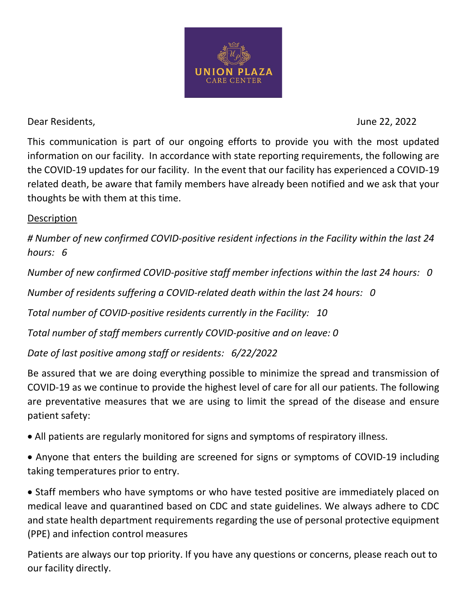

Dear Residents, June 22, 2022

This communication is part of our ongoing efforts to provide you with the most updated information on our facility. In accordance with state reporting requirements, the following are the COVID-19 updates for our facility. In the event that our facility has experienced a COVID-19 related death, be aware that family members have already been notified and we ask that your thoughts be with them at this time.

## Description

*# Number of new confirmed COVID-positive resident infections in the Facility within the last 24 hours: 6* 

*Number of new confirmed COVID-positive staff member infections within the last 24 hours: 0* 

*Number of residents suffering a COVID-related death within the last 24 hours: 0* 

*Total number of COVID-positive residents currently in the Facility: 10*

*Total number of staff members currently COVID-positive and on leave: 0* 

*Date of last positive among staff or residents: 6/22/2022* 

Be assured that we are doing everything possible to minimize the spread and transmission of COVID-19 as we continue to provide the highest level of care for all our patients. The following are preventative measures that we are using to limit the spread of the disease and ensure patient safety:

- All patients are regularly monitored for signs and symptoms of respiratory illness.
- Anyone that enters the building are screened for signs or symptoms of COVID-19 including taking temperatures prior to entry.

• Staff members who have symptoms or who have tested positive are immediately placed on medical leave and quarantined based on CDC and state guidelines. We always adhere to CDC and state health department requirements regarding the use of personal protective equipment (PPE) and infection control measures

Patients are always our top priority. If you have any questions or concerns, please reach out to our facility directly.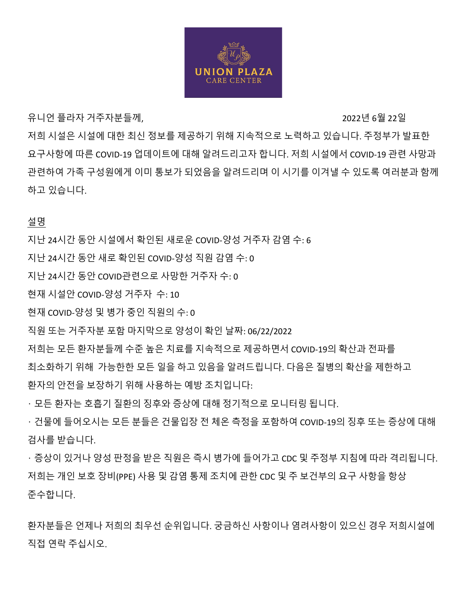

유니언 플라자 거주자분들께, 2022년 6월 22일

저희 시설은 시설에 대한 최신 정보를 제공하기 위해 지속적으로 노력하고 있습니다. 주정부가 발표한 요구사항에 따른 COVID-19 업데이트에 대해 알려드리고자 합니다. 저희 시설에서 COVID-19 관련 사망과 관련하여 가족 구성원에게 이미 통보가 되었음을 알려드리며 이 시기를 이겨낼 수 있도록 여러분과 함께 하고 있습니다.

설명

지난 24시간 동안 시설에서 확인된 새로운 COVID-양성 거주자 감염 수: 6

지난 24시간 동안 새로 확인된 COVID-양성 직원 감염 수: 0

지난 24시간 동안 COVID관련으로 사망한 거주자 수: 0

현재 시설안 COVID-양성 거주자 수: 10

현재 COVID-양성 및 병가 중인 직원의 수: 0

직원 또는 거주자분 포함 마지막으로 양성이 확인 날짜: 06/22/2022

저희는 모든 환자분들께 수준 높은 치료를 지속적으로 제공하면서 COVID-19의 확산과 전파를

최소화하기 위해 가능한한 모든 일을 하고 있음을 알려드립니다. 다음은 질병의 확산을 제한하고 환자의 안전을 보장하기 위해 사용하는 예방 조치입니다:

• 모든 환자는 호흡기 질환의 징후와 증상에 대해 정기적으로 모니터링 됩니다.

• 건물에 들어오시는 모든 분들은 건물입장 전 체온 측정을 포함하여 COVID-19의 징후 또는 증상에 대해 검사를 받습니다.

• 증상이 있거나 양성 판정을 받은 직원은 즉시 병가에 들어가고 CDC 및 주정부 지침에 따라 격리됩니다. 저희는 개인 보호 장비(PPE) 사용 및 감염 통제 조치에 관한 CDC 및 주 보건부의 요구 사항을 항상 준수합니다.

환자분들은 언제나 저희의 최우선 순위입니다. 궁금하신 사항이나 염려사항이 있으신 경우 저희시설에 직접 연락 주십시오.